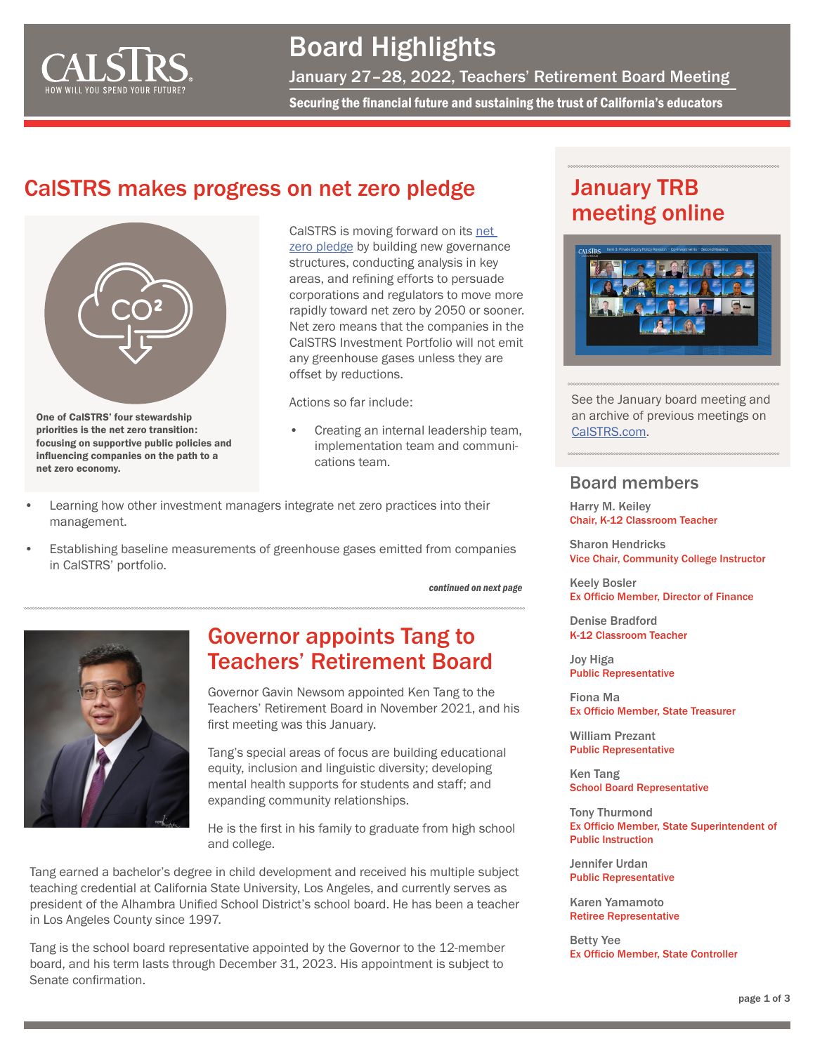

## Board Highlights

January 27–28, 2022, Teachers' Retirement Board Meeting

Securing the financial future and sustaining the trust of California's educators

### CalSTRS makes progress on net zero pledge



One of CalSTRS' four stewardship priorities is the net zero transition: focusing on supportive public policies and influencing companies on the path to a net zero economy.

CalSTRS is moving forward on its [net](https://www.calstrs.com/path-net-zero)  [zero pledge](https://www.calstrs.com/path-net-zero) by building new governance structures, conducting analysis in key areas, and refining efforts to persuade corporations and regulators to move more rapidly toward net zero by 2050 or sooner. Net zero means that the companies in the CalSTRS Investment Portfolio will not emit any greenhouse gases unless they are offset by reductions.

Actions so far include:

- Creating an internal leadership team, implementation team and communications team.
- Learning how other investment managers integrate net zero practices into their management.
- Establishing baseline measurements of greenhouse gases emitted from companies in CalSTRS' portfolio.

*continued on next page*



#### Governor appoints Tang to Teachers' Retirement Board

Governor Gavin Newsom appointed Ken Tang to the Teachers' Retirement Board in November 2021, and his first meeting was this January.

Tang's special areas of focus are building educational equity, inclusion and linguistic diversity; developing mental health supports for students and staff; and expanding community relationships.

He is the first in his family to graduate from high school and college.

Tang earned a bachelor's degree in child development and received his multiple subject teaching credential at California State University, Los Angeles, and currently serves as president of the Alhambra Unified School District's school board. He has been a teacher in Los Angeles County since 1997.

Tang is the school board representative appointed by the Governor to the 12-member board, and his term lasts through December 31, 2023. His appointment is subject to Senate confirmation.

## January TRB meeting online



See the January board meeting and an archive of previous meetings on [CalSTRS.com.](https://www.calstrs.com/board-meeting-video-archive)

#### Board members

Harry M. Keiley Chair, K-12 Classroom Teacher

Sharon Hendricks Vice Chair, Community College Instructor

Keely Bosler Ex Officio Member, Director of Finance

Denise Bradford K-12 Classroom Teacher

Joy Higa Public Representative

Fiona Ma Ex Officio Member, State Treasurer

William Prezant Public Representative

Ken Tang School Board Representative

Tony Thurmond Ex Officio Member, State Superintendent of Public Instruction

Jennifer Urdan Public Representative

Karen Yamamoto Retiree Representative

Betty Yee Ex Officio Member, State Controller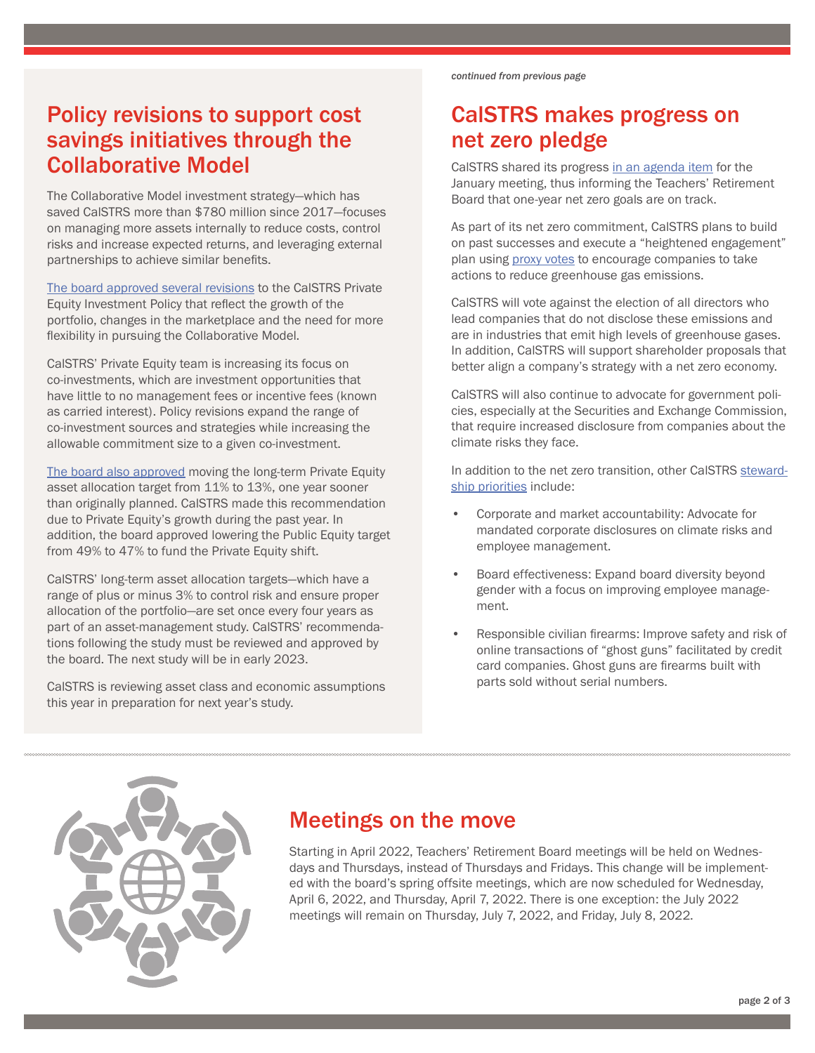#### Policy revisions to support cost savings initiatives through the Collaborative Model

The Collaborative Model investment strategy—which has saved CalSTRS more than \$780 million since 2017—focuses on managing more assets internally to reduce costs, control risks and increase expected returns, and leveraging external partnerships to achieve similar benefits.

[The board approved several revisions](https://resources.calstrs.com/publicdocs/Page/CommonPage.aspx?PageName=DocumentDownload&Id=b0b715da-32e6-49e9-97f3-9a4b97656cad) to the CalSTRS Private Equity Investment Policy that reflect the growth of the portfolio, changes in the marketplace and the need for more flexibility in pursuing the Collaborative Model.

CalSTRS' Private Equity team is increasing its focus on co-investments, which are investment opportunities that have little to no management fees or incentive fees (known as carried interest). Policy revisions expand the range of co-investment sources and strategies while increasing the allowable commitment size to a given co-investment.

[The board also approved](https://resources.calstrs.com/publicdocs/Page/CommonPage.aspx?PageName=DocumentDownload&Id=e3242f43-eb4b-4cc3-b8a7-ec7c3d289f6e) moving the long-term Private Equity asset allocation target from 11% to 13%, one year sooner than originally planned. CalSTRS made this recommendation due to Private Equity's growth during the past year. In addition, the board approved lowering the Public Equity target from 49% to 47% to fund the Private Equity shift.

CalSTRS' long-term asset allocation targets—which have a range of plus or minus 3% to control risk and ensure proper allocation of the portfolio—are set once every four years as part of an asset-management study. CalSTRS' recommendations following the study must be reviewed and approved by the board. The next study will be in early 2023.

CalSTRS is reviewing asset class and economic assumptions this year in preparation for next year's study.

*continued from previous page*

## CalSTRS makes progress on net zero pledge

CalSTRS shared its progress [in an agenda item](https://resources.calstrs.com/publicdocs/Page/CommonPage.aspx?PageName=DocumentDownload&Id=f1ed80a2-f341-4b96-9eb2-caebfd4406a0) for the January meeting, thus informing the Teachers' Retirement Board that one-year net zero goals are on track.

As part of its net zero commitment, CalSTRS plans to build on past successes and execute a "heightened engagement" plan using [proxy votes](https://www.calstrs.com/blog-entry/protecting-your-pensions-why-calstrs-votes-matter) to encourage companies to take actions to reduce greenhouse gas emissions.

CalSTRS will vote against the election of all directors who lead companies that do not disclose these emissions and are in industries that emit high levels of greenhouse gases. In addition, CalSTRS will support shareholder proposals that better align a company's strategy with a net zero economy.

CalSTRS will also continue to advocate for government policies, especially at the Securities and Exchange Commission, that require increased disclosure from companies about the climate risks they face.

In addition to the net zero transition, other CalSTRS [steward](https://resources.calstrs.com/publicdocs/Page/CommonPage.aspx?PageName=DocumentDownload&Id=67e599ad-ae3b-4072-b467-3290fc1b2fde)[ship priorities](https://resources.calstrs.com/publicdocs/Page/CommonPage.aspx?PageName=DocumentDownload&Id=67e599ad-ae3b-4072-b467-3290fc1b2fde) include:

- Corporate and market accountability: Advocate for mandated corporate disclosures on climate risks and employee management.
- Board effectiveness: Expand board diversity beyond gender with a focus on improving employee management.
- Responsible civilian firearms: Improve safety and risk of online transactions of "ghost guns" facilitated by credit card companies. Ghost guns are firearms built with parts sold without serial numbers.



#### Meetings on the move

Starting in April 2022, Teachers' Retirement Board meetings will be held on Wednesdays and Thursdays, instead of Thursdays and Fridays. This change will be implemented with the board's spring offsite meetings, which are now scheduled for Wednesday, April 6, 2022, and Thursday, April 7, 2022. There is one exception: the July 2022 meetings will remain on Thursday, July 7, 2022, and Friday, July 8, 2022.